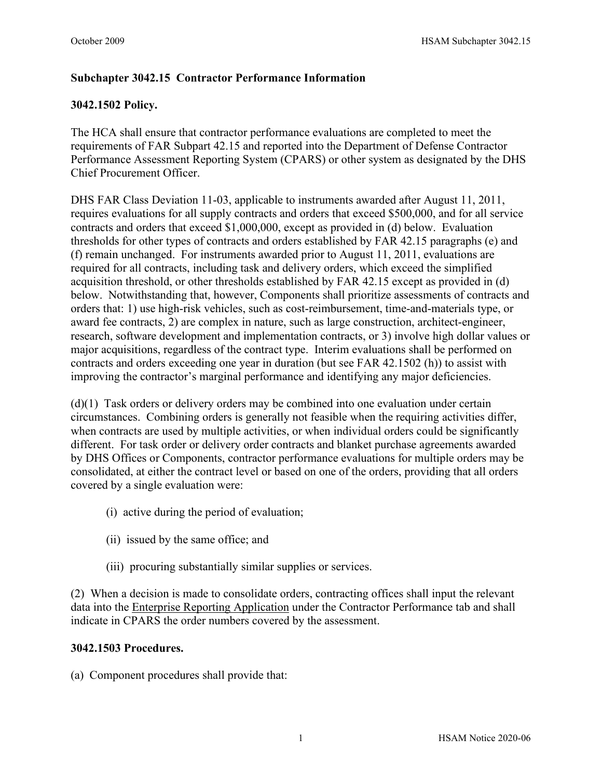## **Subchapter 3042.15 Contractor Performance Information**

## **3042.1502 Policy.**

The HCA shall ensure that contractor performance evaluations are completed to meet the requirements of FAR Subpart 42.15 and reported into the Department of Defense Contractor Performance Assessment Reporting System (CPARS) or other system as designated by the DHS Chief Procurement Officer.

DHS FAR Class Deviation 11-03, applicable to instruments awarded after August 11, 2011, requires evaluations for all supply contracts and orders that exceed \$500,000, and for all service contracts and orders that exceed \$1,000,000, except as provided in (d) below. Evaluation thresholds for other types of contracts and orders established by FAR 42.15 paragraphs (e) and (f) remain unchanged. For instruments awarded prior to August 11, 2011, evaluations are required for all contracts, including task and delivery orders, which exceed the simplified acquisition threshold, or other thresholds established by FAR 42.15 except as provided in (d) below. Notwithstanding that, however, Components shall prioritize assessments of contracts and orders that: 1) use high-risk vehicles, such as cost-reimbursement, time-and-materials type, or award fee contracts, 2) are complex in nature, such as large construction, architect-engineer, research, software development and implementation contracts, or 3) involve high dollar values or major acquisitions, regardless of the contract type. Interim evaluations shall be performed on contracts and orders exceeding one year in duration (but see FAR 42.1502 (h)) to assist with improving the contractor's marginal performance and identifying any major deficiencies.

(d)(1) Task orders or delivery orders may be combined into one evaluation under certain circumstances. Combining orders is generally not feasible when the requiring activities differ, when contracts are used by multiple activities, or when individual orders could be significantly different. For task order or delivery order contracts and blanket purchase agreements awarded by DHS Offices or Components, contractor performance evaluations for multiple orders may be consolidated, at either the contract level or based on one of the orders, providing that all orders covered by a single evaluation were:

- (i) active during the period of evaluation;
- (ii) issued by the same office; and
- (iii) procuring substantially similar supplies or services.

(2) When a decision is made to consolidate orders, contracting offices shall input the relevant data into the [Enterprise Reporting Application](http://ocpo-sp.dhs.gov/sites/era/Pages/Default.aspx) under the Contractor Performance tab and shall indicate in CPARS the order numbers covered by the assessment.

## **3042.1503 Procedures.**

(a) Component procedures shall provide that: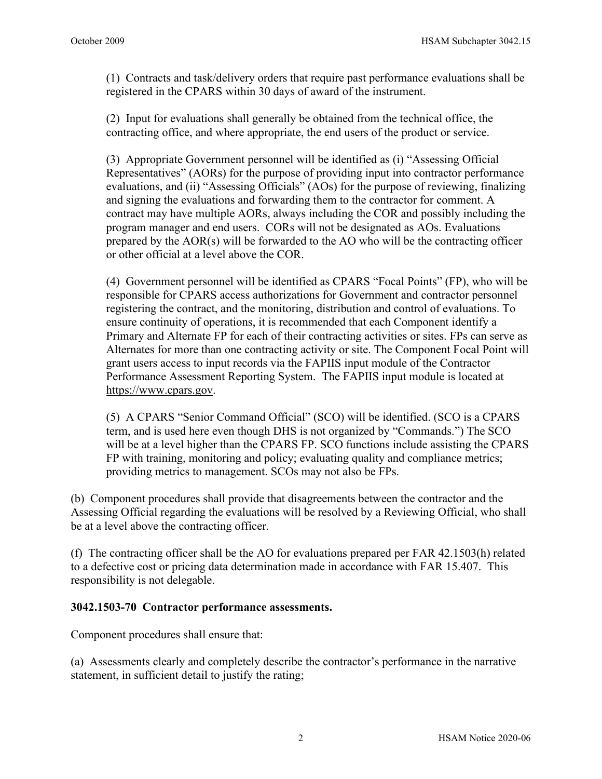(1) Contracts and task/delivery orders that require past performance evaluations shall be registered in the CPARS within 30 days of award of the instrument.

(2) Input for evaluations shall generally be obtained from the technical office, the contracting office, and where appropriate, the end users of the product or service.

(3) Appropriate Government personnel will be identified as (i) "Assessing Official Representatives" (AORs) for the purpose of providing input into contractor performance evaluations, and (ii) "Assessing Officials" (AOs) for the purpose of reviewing, finalizing and signing the evaluations and forwarding them to the contractor for comment. A contract may have multiple AORs, always including the COR and possibly including the program manager and end users. CORs will not be designated as AOs. Evaluations prepared by the AOR(s) will be forwarded to the AO who will be the contracting officer or other official at a level above the COR.

(4) Government personnel will be identified as CPARS "Focal Points" (FP), who will be responsible for CPARS access authorizations for Government and contractor personnel registering the contract, and the monitoring, distribution and control of evaluations. To ensure continuity of operations, it is recommended that each Component identify a Primary and Alternate FP for each of their contracting activities or sites. FPs can serve as Alternates for more than one contracting activity or site. The Component Focal Point will grant users access to input records via the FAPIIS input module of the Contractor Performance Assessment Reporting System. The FAPIIS input module is located at [https://www.cpars.gov.](https://www.cpars.gov/)

(5) A CPARS "Senior Command Official" (SCO) will be identified. (SCO is a CPARS term, and is used here even though DHS is not organized by "Commands.") The SCO will be at a level higher than the CPARS FP. SCO functions include assisting the CPARS FP with training, monitoring and policy; evaluating quality and compliance metrics; providing metrics to management. SCOs may not also be FPs.

(b) Component procedures shall provide that disagreements between the contractor and the Assessing Official regarding the evaluations will be resolved by a Reviewing Official, who shall be at a level above the contracting officer.

(f) The contracting officer shall be the AO for evaluations prepared per FAR 42.1503(h) related to a defective cost or pricing data determination made in accordance with FAR 15.407. This responsibility is not delegable.

## **3042.1503-70 Contractor performance assessments.**

Component procedures shall ensure that:

(a) Assessments clearly and completely describe the contractor's performance in the narrative statement, in sufficient detail to justify the rating;